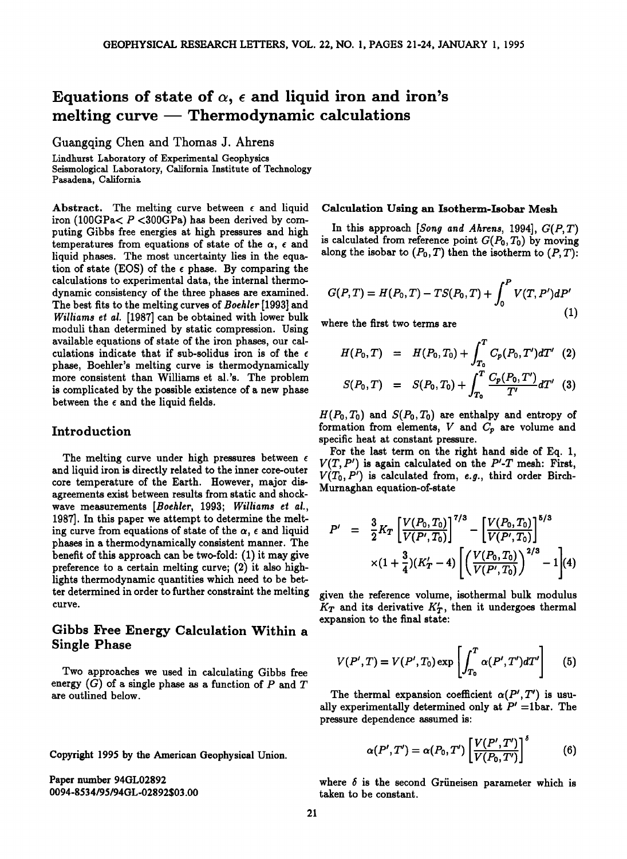# Equations of state of  $\alpha$ ,  $\epsilon$  and liquid iron and iron's **melting curve Thermodynamic calculations**

**Guangqing Chen and Thomas J. Ahrens** 

**Lindhurst Laboratory of Experimental Geophysics Seismological Laboratory, California Institute of Technology Pasadena, California** 

Abstract. The melting curve between  $\epsilon$  and liquid **iron (100GPa< P <300GPa) has been derived by computing Gibbs free energies at high pressures and high**  temperatures from equations of state of the  $\alpha$ ,  $\epsilon$  and **liquid phases. The most uncertainty lies in the equa**tion of state (EOS) of the  $\epsilon$  phase. By comparing the **calculations to experimental data, the internal thermodynamic consistency of the three phases are examined. The best fits to the melting curves of Boehler [1993] and Williams et al. [1987] can be obtained with lower bulk moduli than determined by static compression. Using available equations of state of the iron phases, our cal**culations indicate that if sub-solidus iron is of the  $\epsilon$ **phase, Boehler's melting curve is thermodynamically more consistent than Williams et al.'s. The problem is complicated by the possible existence of a new phase between the e and the liquid fields.** 

## **Introduction**

The melting curve under high pressures between  $\epsilon$ **and liquid iron is directly related to the inner core-outer core temperature of the Earth. However, major disagreements exist between results from static and shockwave measurements [Boehler, 1993; Williams et al., 1987]. In this paper we attempt to determine the melt**ing curve from equations of state of the  $\alpha$ ,  $\epsilon$  and liquid **phases in a thermodynamically consistent manner. The benefit of this approach can be two-fold: (1) it may give preference to a certain melting curve; (2) it also highlights thermodynamic quantities which need to be better determined in order to further constraint the melting curve.** 

## **Gibbs Free Energy Calculation Within a Single Phase**

**Two approaches we used in calculating Gibbs free**  energy  $(G)$  of a single phase as a function of  $P$  and  $T$ **are outlined below.** 

**Copyright 1995 by the American Geophysical Union.** 

**Paper number 94GL02892 0094-8534/95/94GL-02892503.00** 

## **Calculation Using an Isotherm-Isobar Mesh**

**In this approach [Song and Ahrens, 1994], G(P,T)**  is calculated from reference point  $G(P_0, T_0)$  by moving along the isobar to  $(P_0, T)$  then the isotherm to  $(P, T)$ :

$$
G(P,T) = H(P_0,T) - TS(P_0,T) + \int_0^P V(T,P')dP'
$$
\n(1)

**where the first two terms are** 

$$
H(P_0, T) = H(P_0, T_0) + \int_{T_0}^{T} C_p(P_0, T') dT' \quad (2)
$$
  

$$
S(P_0, T) = S(P_0, T_0) + \int_{T_0}^{T} \frac{C_p(P_0, T')}{T'} dT' \quad (3)
$$

 $H(P_0, T_0)$  and  $S(P_0, T_0)$  are enthalpy and entropy of formation from elements,  $V$  and  $C_p$  are volume and **specific heat at constant pressure.** 

**For the last term on the right hand side of Eq. 1,**   $V(T, P')$  is again calculated on the  $P'$ -T mesh: First,  $V(T_0, P')$  is calculated from, e.g., third order Birch-**Murnaghan equation-of-state** 

$$
P' = \frac{3}{2} K_T \left[ \frac{V(P_0, T_0)}{V(P', T_0)} \right]^{7/3} - \left[ \frac{V(P_0, T_0)}{V(P', T_0)} \right]^{5/3}
$$
  
 
$$
\times (1 + \frac{3}{4}) (K'_T - 4) \left[ \left( \frac{V(P_0, T_0)}{V(P', T_0)} \right)^{2/3} - 1 \right] (4)
$$

**given the reference volume, isothermal bulk modulus**   $K_T$  and its derivative  $K'_T$ , then it undergoes thermal **expansion to the final state'** 

$$
V(P',T) = V(P',T_0) \exp\left[\int_{T_0}^T \alpha(P',T')dT'\right] \qquad (5)
$$

The thermal expansion coefficient  $\alpha(P',T')$  is usually experimentally determined only at  $P' = 1$ bar. The **pressure dependence assumed is'** 

$$
\alpha(P',T')=\alpha(P_0,T')\left[\frac{V(P',T')}{V(P_0,T')}\right]^{\delta}\qquad \qquad (6)
$$

where  $\delta$  is the second Grüneisen parameter which is **taken to be constant.**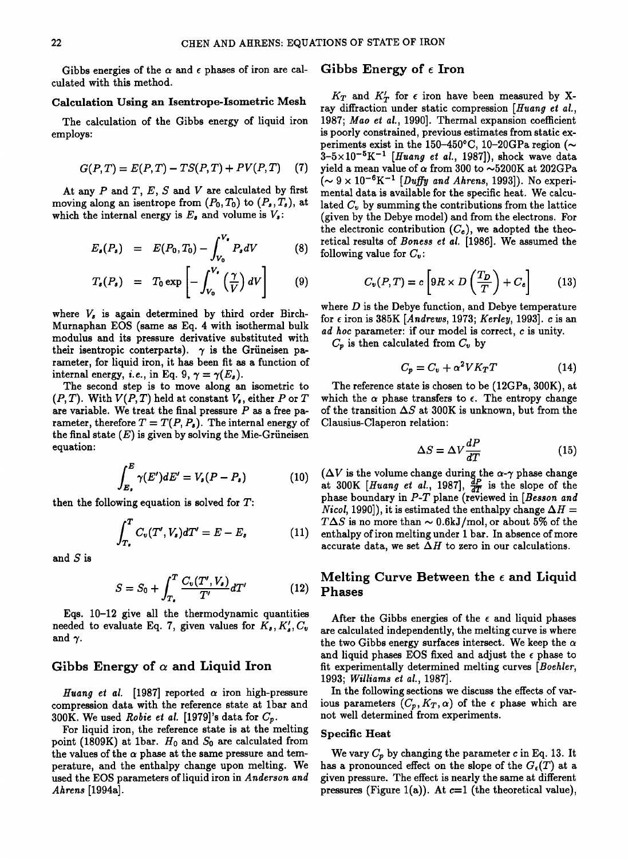Gibbs energies of the  $\alpha$  and  $\epsilon$  phases of iron are cal**culated with this method.** 

## **Calculation Using an Isentrope-Isometric Mesh**

**The calculation of the Gibbs energy of liquid iron employs:** 

$$
G(P, T) = E(P, T) - TS(P, T) + PV(P, T)
$$
 (7)

At any  $P$  and  $T$ ,  $E$ ,  $S$  and  $V$  are calculated by first moving along an isentrope from  $(P_0, T_0)$  to  $(P_s, T_s)$ , at which the internal energy is  $E_s$  and volume is  $V_s$ :

$$
E_s(P_s) = E(P_0, T_0) - \int_{V_0}^{V_s} P_s dV
$$
 (8)

$$
T_{s}(P_{s}) = T_{0} \exp \left[-\int_{V_{0}}^{V_{s}} \left(\frac{\gamma}{V}\right) dV\right]
$$
 (9)

where  $V_s$  is again determined by third order Birch-**Murnaphan EOS (same as Eq. 4 with isothermal bulk modulus and its pressure derivative substituted with**  their isentropic conterparts).  $\gamma$  is the Grüneisen pa**rameter, for liquid iron, it has been fit as a function of**  internal energy, *i.e.*, in Eq. 9,  $\gamma = \gamma(E_s)$ .

**The second step is to move along an isometric to**   $(P, T)$ . With  $V(P, T)$  held at constant  $V_{\epsilon}$ , either P or T **are variable. We treat the final pressure P as a free pa**rameter, therefore  $T = T(P, P_s)$ . The internal energy of the final state  $(E)$  is given by solving the Mie-Grüneisen **equation:** 

$$
\int_{E_{\bullet}}^{E} \gamma(E') dE' = V_{\bullet}(P - P_{\bullet}) \tag{10}
$$

**then the following equation is solved for T:** 

$$
\int_{T_{\bullet}}^{T} C_{v}(T', V_{s})dT' = E - E_{s} \qquad (11) \quad \begin{array}{c} T\Delta S \\ \text{entha} \\ \text{accur} \end{array}
$$

**and S is** 

$$
S = S_0 + \int_{T_\bullet}^T \frac{C_v(T', V_\bullet)}{T'} dT' \tag{12}
$$

**Eqs. 10-12 give all the thermodynamic quantities**  needed to evaluate Eq. 7, given values for  $K_s, K'_s, C_v$ and  $\gamma$ .

## Gibbs Energy of  $\alpha$  and Liquid Iron

Huang et al. [1987] reported  $\alpha$  iron high-pressure **compression data with the reference state at 1bar and 300K.** We used *Robie et al.* [1979]'s data for  $C_p$ .

**For liquid iron, the reference state is at the melting**  point (1809K) at 1bar.  $H_0$  and  $S_0$  are calculated from the values of the  $\alpha$  phase at the same pressure and tem**perature, and the enthalpy change upon melting. We used the EOS parameters of liquid iron in Anderson and Ahrens [1994a].** 

## **Gibbs Energy of e Iron**

 $K_T$  and  $K'_T$  for  $\epsilon$  iron have been measured by X**ray diffraction under static compression [Huang et al., 1987; Mao et al., 1990]. Thermal expansion coefficient is poorly constrained, previous estimates from static ex**periments exist in the 150-450°C, 10-20GPa region  $(\sim$  $3-5\times10^{-5}K^{-1}$  [*Huang et al.*, 1987]), shock wave data **yield a mean value of a from 300 to ~5200K at 202GPa**   $(\sim 9 \times 10^{-6} \text{K}^{-1}$  [Duffy and Ahrens, 1993]). No experi**mental data is available for the specific heat. We calcu**lated  $C_v$  by summing the contributions from the lattice **(given by the Debye model) and from the electrons. For**  the electronic contribution  $(C_e)$ , we adopted the theo**retical results of Boness et al. [1986]. We assumed the following value for**  $C_v$ **:** 

$$
C_v(P,T) = c \left[ 9R \times D\left(\frac{T_D}{T}\right) + C_e \right] \tag{13}
$$

**where D is the Debye function, and Debye temperature for e iron is 385K [Andrews, 1973; Kerley, 1993]. c is an ad hoc parameter: if our model is correct, c is unity.** 

 $C_p$  is then calculated from  $C_v$  by

$$
C_p = C_v + \alpha^2 V K_T T \tag{14}
$$

**The reference state is chosen to be (12GPa, 300K), at**  which the  $\alpha$  phase transfers to  $\epsilon$ . The entropy change of the transition  $\Delta S$  at 300K is unknown, but from the **Clausius-Claperon relation:** 

$$
\Delta S = \Delta V \frac{dP}{dT} \tag{15}
$$

 $\begin{array}{l} \n\begin{array}{l}\n\overline{\phantom{a}} \\
\overline{\phantom{a}} \\
\overline{\phantom{a}} \\
\overline{\phantom{a}} \\
\overline{\phantom{a}} \\
\overline{\phantom{a}} \\
\overline{\phantom{a}} \\
\overline{\phantom{a}} \\
\overline{\phantom{a}} \\
\overline{\phantom{a}} \\
\overline{\phantom{a}} \\
\overline{\phantom{a}} \\
\overline{\phantom{a}} \\
\overline{\phantom{a}} \\
\overline{\phantom{a}} \\
\overline{\phantom{a}} \\
\overline{\phantom{a}} \\
\overline{\phantom{a}} \\
\overline{\phantom{a}} \\
\overline{\phantom{a}} \\
\overline$ at  $300K$  [*Huang et al.*, 1987],  $\frac{dP}{dT}$  is the slope of the **phase boundary in P-T plane (reviewed in [Besson and**  *Nicol*, 1990]), it is estimated the enthalpy change  $\Delta H =$  $T\Delta S$  is no more than  $\sim 0.6 \text{kJ/mol}$ , or about 5% of the enthalpy of iron melting under 1 bar. In absence of more accurate data, we set  $\Delta H$  to zero in our calculations.

## **Melting Curve Between the e and Liquid Phases**

After the Gibbs energies of the  $\epsilon$  and liquid phases **are calculated independently, the melting curve is where**  the two Gibbs energy surfaces intersect. We keep the  $\alpha$ and liquid phases EOS fixed and adjust the  $\epsilon$  phase to **fit experimentally determined melting curves [Boehler, 1993; Williams et al., 1987].** 

**In the following sections we discuss the effects of var**ious parameters  $(C_p, K_T, \alpha)$  of the  $\epsilon$  phase which are **not well determined from experiments.** 

#### **Specific Heat**

We vary  $C_p$  by changing the parameter c in Eq. 13. It has a pronounced effect on the slope of the  $G_{\epsilon}(T)$  at a **given pressure. The effect is nearly the same at different pressures** (Figure 1(a)). At  $c=1$  (the theoretical value),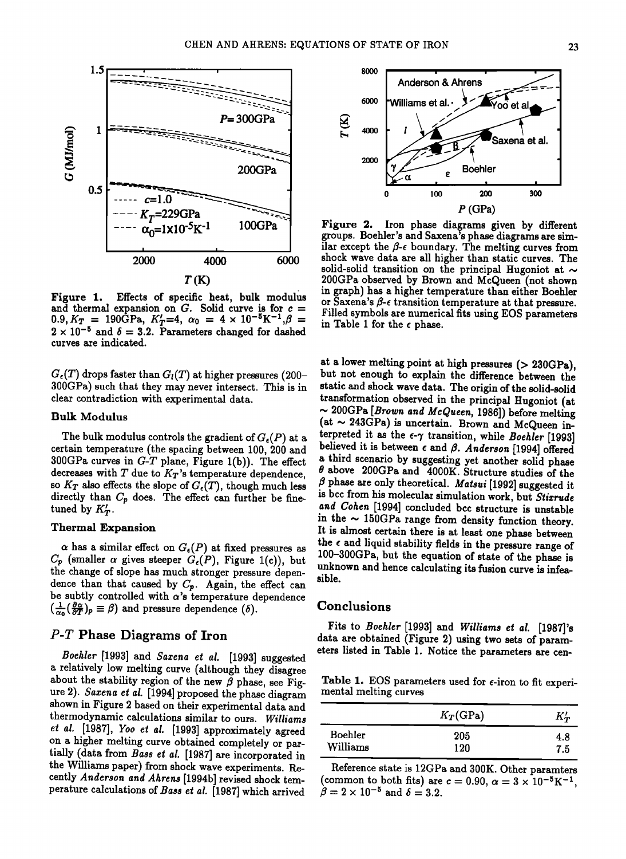

**Figure 1. Effects of specific heat, bulk modulus**  and thermal expansion on  $G$ . Solid curve is for  $c =$  $0.9, K_T = 190\text{GPa}, K_T' = 4, \ \alpha_0 = 4 \times 10^{-5} \text{K}^{-1}, \beta =$  $2 \times 10^{-5}$  and  $\delta = 3.2$ . Parameters changed for dashed **curves are indicated.** 

 $G_{\epsilon}(T)$  drops faster than  $G_{l}(T)$  at higher pressures (200-300GPa) such that they may never intersect. This is in **clear contradiction with experimental data.** 

#### **Bulk Modulus**

The bulk modulus controls the gradient of  $G_{\epsilon}(P)$  at a **certain temperature (the spacing between 100,200 and 300GPa curves in G-T plane, Figure l(b)). The effect**  decreases with  $T$  due to  $K_T$ 's temperature dependence, so  $K_T$  also effects the slope of  $G_{\epsilon}(T)$ , though much less directly than  $C_p$  does. The effect can further be finetuned by  $K'_T$ .

### **Thermal Expansion**

 $\alpha$  has a similar effect on  $G_{\epsilon}(P)$  at fixed pressures as  $C_p$  (smaller  $\alpha$  gives steeper  $G_e(P)$ , Figure 1(c)), but **the change of slope has much stronger pressure depen**dence than that caused by  $C_p$ . Again, the effect can be subtly controlled with  $\alpha$ 's temperature dependence  $\left(\frac{1}{\alpha_0} \left(\frac{\partial \alpha}{\partial T}\right)_p \equiv \beta\right)$  and pressure dependence  $(\delta)$ .

# **P-T Phase Diagrams of Iron**

**Boehler [1993] and \$azena et al. [1993] suggested**  a relatively low melting curve (although they disagree about the stability region of the new  $\beta$  phase, see Fig**ure 2). Sazena et al. [1994] proposed the phase diagram shown in Figure 2 based on their experimental data and thermodynamic calculations similar to ours. Williams et at. [1987], Yoo et at. [1993] approximately agreed on a higher melting curve obtained completely or partially (data from Bass et al. [1987] are incorporated in the Williams paper) from shock wave experiments. Recently Anderson and Ahrens [1994b] revised shock temperature calculations of Bass et al. [1987] which arrived** 



**Figure 2. Iron phase diagrams given by different groups. Boehler's and Saxena's phase diagrams are sim**ilar except the  $\beta$ - $\epsilon$  boundary. The melting curves from **shock wave data are all higher than static curves. The**  solid-solid transition on the principal Hugoniot at  $\sim$ **200GPa observed by Brown and McQueen (not shown in graph) has a higher temperature than either Boehler**  or Saxena's  $\beta$ - $\epsilon$  transition temperature at that pressure. **Filled symbols are numerical fits using EOS parameters in Table 1 for the e phase.** 

**at a lower melting point at high pressures (> 230GPa), but not enough to explain the difference between the static and shock wave data. The origin of the solid-solid transformation observed in the principal Hugoniot (at ,,, 200GPa [Brown and McQueen, 1986]) before melting (at ~ 243GPa) is uncertain. Brown and McQueen interpreted it as the e-7 transition, while Boehler [1993]**  believed it is between  $\epsilon$  and  $\beta$ . Anderson [1994] offered **a third scenario bysuggesting yet another solid phase 0 above 200GPa and 4000K. Structure studies of the**   $\beta$  phase are only theoretical. Matsui [1992] suggested it **is bcc from his molecular simulation work, but Stixrude and Cohen [1994] concluded bcc structure is unstable**  in the  $\sim$  150GPa range from density function theory. **It is almost certain there is at least one phase between**  the  $\epsilon$  and liquid stability fields in the pressure range of **100-300GPa, but the equation of state of the phase is unknown and hence calculating its fusion curve is infeasible.** 

### **Conclusions**

**Fits to Boehler [1993] and Williams et al. [1987]'s data are obtained (Figure 2) using two sets of parameters listed in Table 1. Notice the parameters are cen-**

Table 1. EOS parameters used for  $\epsilon$ -iron to fit experi**mental melting curves** 

|          | $K_T(\text{GPa})$ | $K_T'$ |
|----------|-------------------|--------|
| Boehler  | 205               | 4.8    |
| Williams | 120               | 7.5    |

**Reference state is 12GPa and 300K. Other paramters**  (common to both fits) are  $c = 0.90$ ,  $\alpha = 3 \times 10^{-5} \text{K}^{-1}$ ,  $\hat{\beta}=2\times10^{-5}$  and  $\delta=3.2$ .